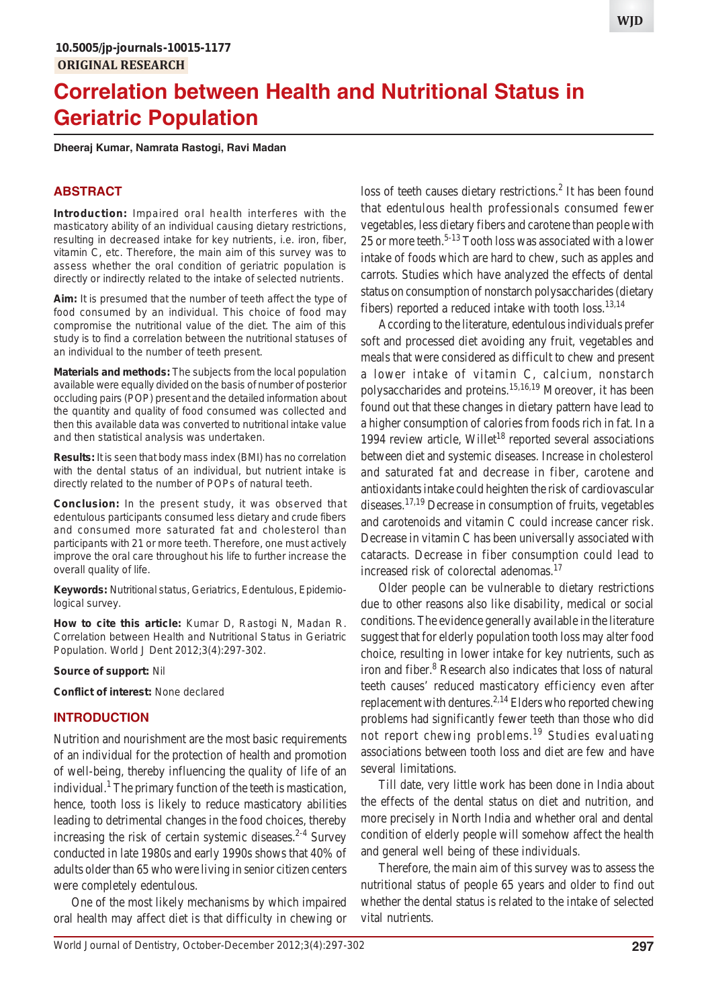# **Correlation between Health and Nutritional Status in Geriatric Population**

**Dheeraj Kumar, Namrata Rastogi, Ravi Madan**

#### **ABSTRACT**

**Introduction:** Impaired oral health interferes with the masticatory ability of an individual causing dietary restrictions, resulting in decreased intake for key nutrients, i.e. iron, fiber, vitamin C, etc. Therefore, the main aim of this survey was to assess whether the oral condition of geriatric population is directly or indirectly related to the intake of selected nutrients.

**Aim:** It is presumed that the number of teeth affect the type of food consumed by an individual. This choice of food may compromise the nutritional value of the diet. The aim of this study is to find a correlation between the nutritional statuses of an individual to the number of teeth present.

**Materials and methods:** The subjects from the local population available were equally divided on the basis of number of posterior occluding pairs (POP) present and the detailed information about the quantity and quality of food consumed was collected and then this available data was converted to nutritional intake value and then statistical analysis was undertaken.

**Results:** It is seen that body mass index (BMI) has no correlation with the dental status of an individual, but nutrient intake is directly related to the number of POPs of natural teeth.

**Conclusion:** In the present study, it was observed that edentulous participants consumed less dietary and crude fibers and consumed more saturated fat and cholesterol than participants with 21 or more teeth. Therefore, one must actively improve the oral care throughout his life to further increase the overall quality of life.

**Keywords:** Nutritional status, Geriatrics, Edentulous, Epidemiological survey.

**How to cite this article:** Kumar D, Rastogi N, Madan R. Correlation between Health and Nutritional Status in Geriatric Population. World J Dent 2012;3(4):297-302.

#### **Source of support:** Nil

**Conflict of interest:** None declared

### **INTRODUCTION**

Nutrition and nourishment are the most basic requirements of an individual for the protection of health and promotion of well-being, thereby influencing the quality of life of an individual.<sup>1</sup> The primary function of the teeth is mastication, hence, tooth loss is likely to reduce masticatory abilities leading to detrimental changes in the food choices, thereby increasing the risk of certain systemic diseases. $2-4$  Survey conducted in late 1980s and early 1990s shows that 40% of adults older than 65 who were living in senior citizen centers were completely edentulous.

One of the most likely mechanisms by which impaired oral health may affect diet is that difficulty in chewing or loss of teeth causes dietary restrictions.<sup>2</sup> It has been found that edentulous health professionals consumed fewer vegetables, less dietary fibers and carotene than people with 25 or more teeth.<sup>5-13</sup> Tooth loss was associated with a lower intake of foods which are hard to chew, such as apples and carrots. Studies which have analyzed the effects of dental status on consumption of nonstarch polysaccharides (dietary fibers) reported a reduced intake with tooth  $loss.<sup>13,14</sup>$ 

According to the literature, edentulous individuals prefer soft and processed diet avoiding any fruit, vegetables and meals that were considered as difficult to chew and present a lower intake of vitamin C, calcium, nonstarch polysaccharides and proteins.<sup>15,16,19</sup> Moreover, it has been found out that these changes in dietary pattern have lead to a higher consumption of calories from foods rich in fat. In a 1994 review article, Willet<sup>18</sup> reported several associations between diet and systemic diseases. Increase in cholesterol and saturated fat and decrease in fiber, carotene and antioxidants intake could heighten the risk of cardiovascular diseases.17,19 Decrease in consumption of fruits, vegetables and carotenoids and vitamin C could increase cancer risk. Decrease in vitamin C has been universally associated with cataracts. Decrease in fiber consumption could lead to increased risk of colorectal adenomas.<sup>17</sup>

Older people can be vulnerable to dietary restrictions due to other reasons also like disability, medical or social conditions. The evidence generally available in the literature suggest that for elderly population tooth loss may alter food choice, resulting in lower intake for key nutrients, such as iron and fiber.<sup>8</sup> Research also indicates that loss of natural teeth causes' reduced masticatory efficiency even after replacement with dentures.<sup>2,14</sup> Elders who reported chewing problems had significantly fewer teeth than those who did not report chewing problems.<sup>19</sup> Studies evaluating associations between tooth loss and diet are few and have several limitations.

Till date, very little work has been done in India about the effects of the dental status on diet and nutrition, and more precisely in North India and whether oral and dental condition of elderly people will somehow affect the health and general well being of these individuals.

Therefore, the main aim of this survey was to assess the nutritional status of people 65 years and older to find out whether the dental status is related to the intake of selected vital nutrients.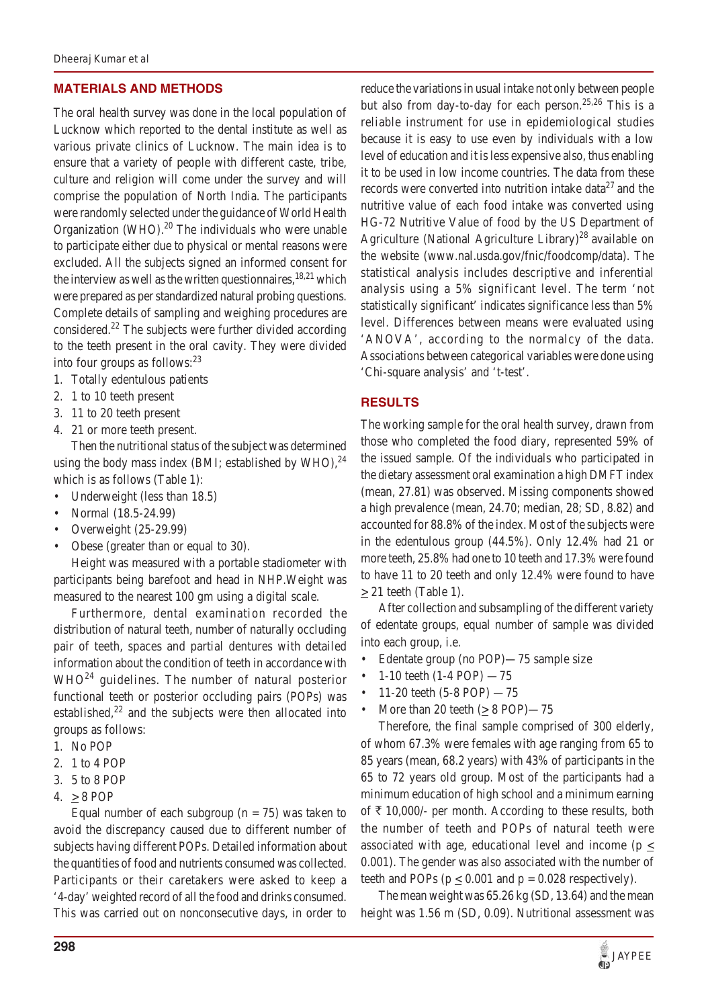# **MATERIALS AND METHODS**

The oral health survey was done in the local population of Lucknow which reported to the dental institute as well as various private clinics of Lucknow. The main idea is to ensure that a variety of people with different caste, tribe, culture and religion will come under the survey and will comprise the population of North India. The participants were randomly selected under the guidance of World Health Organization (WHO). $^{20}$  The individuals who were unable to participate either due to physical or mental reasons were excluded. All the subjects signed an informed consent for the interview as well as the written questionnaires,  $18,21$  which were prepared as per standardized natural probing questions. Complete details of sampling and weighing procedures are considered.<sup>22</sup> The subjects were further divided according to the teeth present in the oral cavity. They were divided into four groups as follows: $23$ 

- 1. Totally edentulous patients
- 2. 1 to 10 teeth present
- 3. 11 to 20 teeth present
- 4. 21 or more teeth present.

Then the nutritional status of the subject was determined using the body mass index (BMI; established by WHO), $^{24}$ which is as follows (Table 1):

- Underweight (less than 18.5)
- Normal (18.5-24.99)
- Overweight (25-29.99)
- Obese (greater than or equal to 30).

Height was measured with a portable stadiometer with participants being barefoot and head in NHP.Weight was measured to the nearest 100 gm using a digital scale.

Furthermore, dental examination recorded the distribution of natural teeth, number of naturally occluding pair of teeth, spaces and partial dentures with detailed information about the condition of teeth in accordance with  $WHO^{24}$  guidelines. The number of natural posterior functional teeth or posterior occluding pairs (POPs) was established, $2<sup>2</sup>$  and the subjects were then allocated into groups as follows:

- 1. No POP
- 2. 1 to 4 POP
- 3. 5 to 8 POP
- 4. > 8 POP

Equal number of each subgroup ( $n = 75$ ) was taken to avoid the discrepancy caused due to different number of subjects having different POPs. Detailed information about the quantities of food and nutrients consumed was collected. Participants or their caretakers were asked to keep a '4-day' weighted record of all the food and drinks consumed. This was carried out on nonconsecutive days, in order to reduce the variations in usual intake not only between people but also from day-to-day for each person.<sup>25,26</sup> This is a reliable instrument for use in epidemiological studies because it is easy to use even by individuals with a low level of education and it is less expensive also, thus enabling it to be used in low income countries. The data from these records were converted into nutrition intake data $27$  and the nutritive value of each food intake was converted using HG-72 Nutritive Value of food by the US Department of Agriculture (National Agriculture Library)<sup>28</sup> available on the website (www.nal.usda.gov/fnic/foodcomp/data). The statistical analysis includes descriptive and inferential analysis using a 5% significant level. The term 'not statistically significant' indicates significance less than 5% level. Differences between means were evaluated using 'ANOVA', according to the normalcy of the data. Associations between categorical variables were done using 'Chi-square analysis' and 't-test'.

### **RESULTS**

The working sample for the oral health survey, drawn from those who completed the food diary, represented 59% of the issued sample. Of the individuals who participated in the dietary assessment oral examination a high DMFT index (mean, 27.81) was observed. Missing components showed a high prevalence (mean, 24.70; median, 28; SD, 8.82) and accounted for 88.8% of the index. Most of the subjects were in the edentulous group (44.5%). Only 12.4% had 21 or more teeth, 25.8% had one to 10 teeth and 17.3% were found to have 11 to 20 teeth and only 12.4% were found to have  $\geq$  21 teeth (Table 1).

After collection and subsampling of the different variety of edentate groups, equal number of sample was divided into each group, i.e.

- Edentate group (no POP)—75 sample size
- 1-10 teeth (1-4 POP) —75
- 11-20 teeth  $(5-8 \text{ POP})$  -75
- More than 20 teeth  $( \geq 8 \text{ POP})$ —75

Therefore, the final sample comprised of 300 elderly, of whom 67.3% were females with age ranging from 65 to 85 years (mean, 68.2 years) with 43% of participants in the 65 to 72 years old group. Most of the participants had a minimum education of high school and a minimum earning of  $\bar{\tau}$  10,000/- per month. According to these results, both the number of teeth and POPs of natural teeth were associated with age, educational level and income ( $p \leq$ 0.001). The gender was also associated with the number of teeth and POPs ( $p \le 0.001$  and  $p = 0.028$  respectively).

The mean weight was 65.26 kg (SD, 13.64) and the mean height was 1.56 m (SD, 0.09). Nutritional assessment was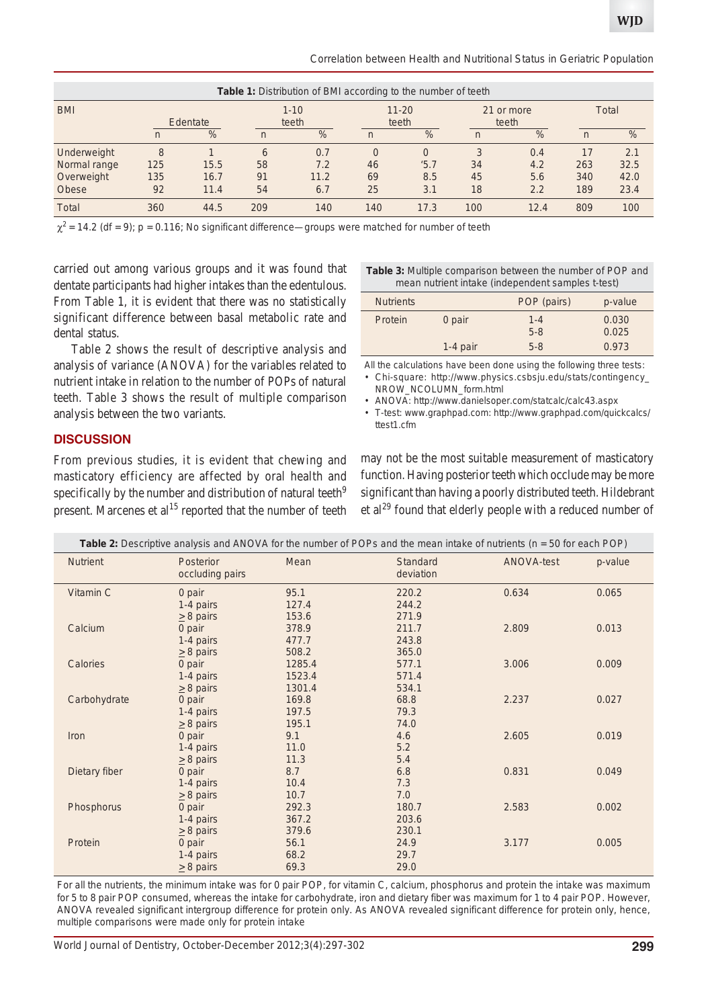*Correlation between Health and Nutritional Status in Geriatric Population*

| <b>Table 1:</b> Distribution of BMI according to the number of teeth |                |               |                |                   |              |                    |                |                     |                |       |  |
|----------------------------------------------------------------------|----------------|---------------|----------------|-------------------|--------------|--------------------|----------------|---------------------|----------------|-------|--|
| <b>BMI</b>                                                           | Edentate       |               |                | $1 - 10$<br>teeth |              | $11 - 20$<br>teeth |                | 21 or more<br>teeth |                | Total |  |
|                                                                      | $\overline{n}$ | $\frac{9}{6}$ | $\overline{n}$ | %                 | $\mathsf{n}$ | $\%$               | $\overline{n}$ | %                   | $\overline{n}$ | %     |  |
| Underweight                                                          | 8              |               | 6              | 0.7               | $\Omega$     | $\Omega$           | 3              | 0.4                 | 17             | 2.1   |  |
| Normal range                                                         | 125            | 15.5          | 58             | 7.2               | 46           | 5.7                | 34             | 4.2                 | 263            | 32.5  |  |
| Overweight                                                           | 135            | 16.7          | 91             | 11.2              | 69           | 8.5                | 45             | 5.6                 | 340            | 42.0  |  |
| Obese                                                                | 92             | 11.4          | 54             | 6.7               | 25           | 3.1                | 18             | 2.2                 | 189            | 23.4  |  |
| <b>Total</b>                                                         | 360            | 44.5          | 209            | 140               | 140          | 17.3               | 100            | 12.4                | 809            | 100   |  |

 $\chi^2$  = 14.2 (df = 9); p = 0.116; No significant difference—groups were matched for number of teeth

carried out among various groups and it was found that dentate participants had higher intakes than the edentulous. From Table 1, it is evident that there was no statistically significant difference between basal metabolic rate and dental status.

Table 2 shows the result of descriptive analysis and analysis of variance (ANOVA) for the variables related to nutrient intake in relation to the number of POPs of natural teeth. Table 3 shows the result of multiple comparison analysis between the two variants.

**Table 3:** Multiple comparison between the number of POP and mean nutrient intake (independent samples t-test)

| <b>Nutrients</b> |            | POP (pairs)        | p-value        |
|------------------|------------|--------------------|----------------|
| Protein          | 0 pair     | $1 - 4$<br>$5 - 8$ | 0.030<br>0.025 |
|                  | $1-4$ pair | $5 - 8$            | 0.973          |

All the calculations have been done using the following three tests:

• *Chi-square*: http://www.physics.csbsju.edu/stats/contingency\_ NROW\_NCOLUMN\_form.html

• *ANOVA*: http://www.danielsoper.com/statcalc/calc43.aspx

• *T-test*: www.graphpad.com: http://www.graphpad.com/quickcalcs/ ttest1.cfm

## **DISCUSSION**

From previous studies, it is evident that chewing and masticatory efficiency are affected by oral health and specifically by the number and distribution of natural teeth<sup>9</sup> present. Marcenes et al<sup>15</sup> reported that the number of teeth

may not be the most suitable measurement of masticatory function. Having posterior teeth which occlude may be more significant than having a poorly distributed teeth. Hildebrant et  $al^{29}$  found that elderly people with a reduced number of

| Table 2: Descriptive analysis and ANOVA for the number of POPs and the mean intake of nutrients ( $n = 50$ for each POP) |                                       |                            |                              |            |         |  |  |
|--------------------------------------------------------------------------------------------------------------------------|---------------------------------------|----------------------------|------------------------------|------------|---------|--|--|
| <b>Nutrient</b>                                                                                                          | Posterior<br>occluding pairs          | Mean                       | <b>Standard</b><br>deviation | ANOVA-test | p-value |  |  |
| Vitamin C                                                                                                                | 0 pair<br>1-4 pairs<br>$\geq$ 8 pairs | 95.1<br>127.4<br>153.6     | 220.2<br>244.2<br>271.9      | 0.634      | 0.065   |  |  |
| Calcium                                                                                                                  | 0 pair<br>1-4 pairs<br>$\geq$ 8 pairs | 378.9<br>477.7<br>508.2    | 211.7<br>243.8<br>365.0      | 2.809      | 0.013   |  |  |
| Calories                                                                                                                 | 0 pair<br>1-4 pairs<br>$\geq$ 8 pairs | 1285.4<br>1523.4<br>1301.4 | 577.1<br>571.4<br>534.1      | 3.006      | 0.009   |  |  |
| Carbohydrate                                                                                                             | 0 pair<br>1-4 pairs<br>$\geq$ 8 pairs | 169.8<br>197.5<br>195.1    | 68.8<br>79.3<br>74.0         | 2.237      | 0.027   |  |  |
| Iron                                                                                                                     | 0 pair<br>1-4 pairs<br>$\geq$ 8 pairs | 9.1<br>11.0<br>11.3        | 4.6<br>5.2<br>5.4            | 2.605      | 0.019   |  |  |
| Dietary fiber                                                                                                            | 0 pair<br>1-4 pairs<br>$\geq$ 8 pairs | 8.7<br>10.4<br>10.7        | 6.8<br>7.3<br>7.0            | 0.831      | 0.049   |  |  |
| Phosphorus                                                                                                               | 0 pair<br>1-4 pairs<br>$\geq$ 8 pairs | 292.3<br>367.2<br>379.6    | 180.7<br>203.6<br>230.1      | 2.583      | 0.002   |  |  |
| Protein                                                                                                                  | 0 pair<br>1-4 pairs<br>$\geq$ 8 pairs | 56.1<br>68.2<br>69.3       | 24.9<br>29.7<br>29.0         | 3.177      | 0.005   |  |  |

For all the nutrients, the minimum intake was for 0 pair POP, for vitamin C, calcium, phosphorus and protein the intake was maximum for 5 to 8 pair POP consumed, whereas the intake for carbohydrate, iron and dietary fiber was maximum for 1 to 4 pair POP. However, ANOVA revealed significant intergroup difference for protein only. As ANOVA revealed significant difference for protein only, hence, multiple comparisons were made only for protein intake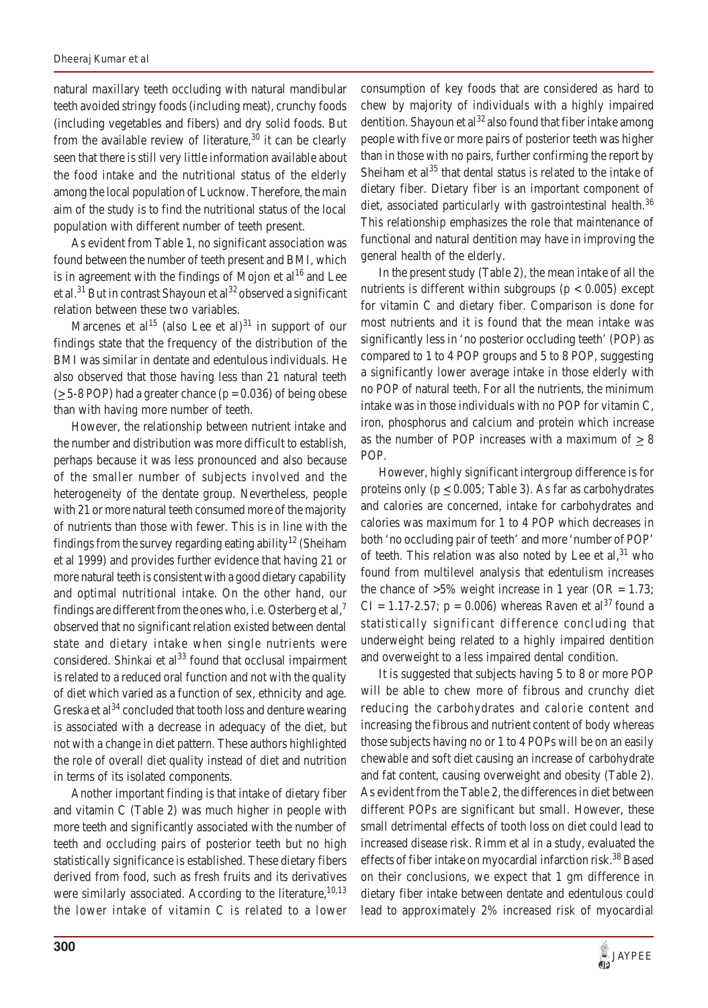natural maxillary teeth occluding with natural mandibular teeth avoided stringy foods (including meat), crunchy foods (including vegetables and fibers) and dry solid foods. But from the available review of literature,  $30$  it can be clearly seen that there is still very little information available about the food intake and the nutritional status of the elderly among the local population of Lucknow. Therefore, the main aim of the study is to find the nutritional status of the local population with different number of teeth present.

As evident from Table 1, no significant association was found between the number of teeth present and BMI, which is in agreement with the findings of Mojon et  $al^{16}$  and Lee et al.<sup>31</sup> But in contrast Shayoun et al<sup>32</sup> observed a significant relation between these two variables.

Marcenes et al<sup>15</sup> (also Lee et al)<sup>31</sup> in support of our findings state that the frequency of the distribution of the BMI was similar in dentate and edentulous individuals. He also observed that those having less than 21 natural teeth  $(>= 5-8$  POP) had a greater chance ( $p = 0.036$ ) of being obese than with having more number of teeth.

However, the relationship between nutrient intake and the number and distribution was more difficult to establish, perhaps because it was less pronounced and also because of the smaller number of subjects involved and the heterogeneity of the dentate group. Nevertheless, people with 21 or more natural teeth consumed more of the majority of nutrients than those with fewer. This is in line with the findings from the survey regarding eating ability<sup>12</sup> (Sheiham et al 1999) and provides further evidence that having 21 or more natural teeth is consistent with a good dietary capability and optimal nutritional intake. On the other hand, our findings are different from the ones who, i.e. Osterberg et al,<sup>7</sup> observed that no significant relation existed between dental state and dietary intake when single nutrients were considered. Shinkai et  $al^{33}$  found that occlusal impairment is related to a reduced oral function and not with the quality of diet which varied as a function of sex, ethnicity and age. Greska et al<sup>34</sup> concluded that tooth loss and denture wearing is associated with a decrease in adequacy of the diet, but not with a change in diet pattern. These authors highlighted the role of overall diet quality instead of diet and nutrition in terms of its isolated components.

Another important finding is that intake of dietary fiber and vitamin C (Table 2) was much higher in people with more teeth and significantly associated with the number of teeth and occluding pairs of posterior teeth but no high statistically significance is established. These dietary fibers derived from food, such as fresh fruits and its derivatives were similarly associated. According to the literature,  $10,13$ the lower intake of vitamin C is related to a lower consumption of key foods that are considered as hard to chew by majority of individuals with a highly impaired dentition. Shayoun et al<sup>32</sup> also found that fiber intake among people with five or more pairs of posterior teeth was higher than in those with no pairs, further confirming the report by Sheiham et  $al<sup>35</sup>$  that dental status is related to the intake of dietary fiber. Dietary fiber is an important component of diet, associated particularly with gastrointestinal health.<sup>36</sup> This relationship emphasizes the role that maintenance of functional and natural dentition may have in improving the general health of the elderly.

In the present study (Table 2), the mean intake of all the nutrients is different within subgroups ( $p < 0.005$ ) except for vitamin C and dietary fiber. Comparison is done for most nutrients and it is found that the mean intake was significantly less in 'no posterior occluding teeth' (POP) as compared to 1 to 4 POP groups and 5 to 8 POP, suggesting a significantly lower average intake in those elderly with no POP of natural teeth. For all the nutrients, the minimum intake was in those individuals with no POP for vitamin C, iron, phosphorus and calcium and protein which increase as the number of POP increases with a maximum of  $\geq 8$ POP.

However, highly significant intergroup difference is for proteins only ( $p \le 0.005$ ; Table 3). As far as carbohydrates and calories are concerned, intake for carbohydrates and calories was maximum for 1 to 4 POP which decreases in both 'no occluding pair of teeth' and more 'number of POP' of teeth. This relation was also noted by Lee et  $al$ ,<sup>31</sup> who found from multilevel analysis that edentulism increases the chance of  $>5\%$  weight increase in 1 year (OR = 1.73;  $CI = 1.17 - 2.57$ ;  $p = 0.006$ ) whereas Raven et al<sup>37</sup> found a statistically significant difference concluding that underweight being related to a highly impaired dentition and overweight to a less impaired dental condition.

It is suggested that subjects having 5 to 8 or more POP will be able to chew more of fibrous and crunchy diet reducing the carbohydrates and calorie content and increasing the fibrous and nutrient content of body whereas those subjects having no or 1 to 4 POPs will be on an easily chewable and soft diet causing an increase of carbohydrate and fat content, causing overweight and obesity (Table 2). As evident from the Table 2, the differences in diet between different POPs are significant but small. However, these small detrimental effects of tooth loss on diet could lead to increased disease risk. Rimm et al in a study, evaluated the effects of fiber intake on myocardial infarction risk.<sup>38</sup> Based on their conclusions, we expect that 1 gm difference in dietary fiber intake between dentate and edentulous could lead to approximately 2% increased risk of myocardial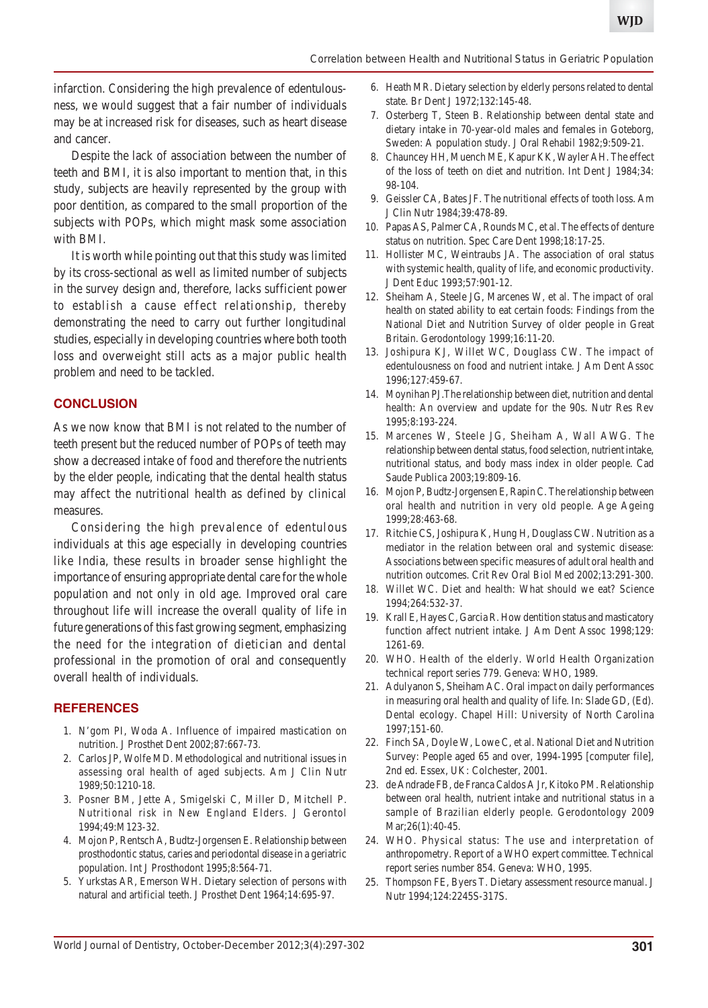infarction. Considering the high prevalence of edentulousness, we would suggest that a fair number of individuals may be at increased risk for diseases, such as heart disease and cancer.

Despite the lack of association between the number of teeth and BMI, it is also important to mention that, in this study, subjects are heavily represented by the group with poor dentition, as compared to the small proportion of the subjects with POPs, which might mask some association with BMI.

It is worth while pointing out that this study was limited by its cross-sectional as well as limited number of subjects in the survey design and, therefore, lacks sufficient power to establish a cause effect relationship, thereby demonstrating the need to carry out further longitudinal studies, especially in developing countries where both tooth loss and overweight still acts as a major public health problem and need to be tackled.

#### **CONCLUSION**

As we now know that BMI is not related to the number of teeth present but the reduced number of POPs of teeth may show a decreased intake of food and therefore the nutrients by the elder people, indicating that the dental health status may affect the nutritional health as defined by clinical measures.

Considering the high prevalence of edentulous individuals at this age especially in developing countries like India, these results in broader sense highlight the importance of ensuring appropriate dental care for the whole population and not only in old age. Improved oral care throughout life will increase the overall quality of life in future generations of this fast growing segment, emphasizing the need for the integration of dietician and dental professional in the promotion of oral and consequently overall health of individuals.

#### **REFERENCES**

- 1. N'gom PI, Woda A. Influence of impaired mastication on nutrition. J Prosthet Dent 2002;87:667-73.
- 2. Carlos JP, Wolfe MD. Methodological and nutritional issues in assessing oral health of aged subjects. Am J Clin Nutr 1989;50:1210-18.
- 3. Posner BM, Jette A, Smigelski C, Miller D, Mitchell P. Nutritional risk in New England Elders. J Gerontol 1994;49:M123-32.
- 4. Mojon P, Rentsch A, Budtz-Jorgensen E. Relationship between prosthodontic status, caries and periodontal disease in a geriatric population. Int J Prosthodont 1995;8:564-71.
- 5. Yurkstas AR, Emerson WH. Dietary selection of persons with natural and artificial teeth. J Prosthet Dent 1964;14:695-97.
- 6. Heath MR. Dietary selection by elderly persons related to dental state. Br Dent J 1972;132:145-48.
- 7. Osterberg T, Steen B. Relationship between dental state and dietary intake in 70-year-old males and females in Goteborg, Sweden: A population study. J Oral Rehabil 1982;9:509-21.
- 8. Chauncey HH, Muench ME, Kapur KK, Wayler AH. The effect of the loss of teeth on diet and nutrition. Int Dent J 1984;34: 98-104.
- 9. Geissler CA, Bates JF. The nutritional effects of tooth loss. Am J Clin Nutr 1984;39:478-89.
- 10. Papas AS, Palmer CA, Rounds MC, et al. The effects of denture status on nutrition. Spec Care Dent 1998;18:17-25.
- 11. Hollister MC, Weintraubs JA. The association of oral status with systemic health, quality of life, and economic productivity. J Dent Educ 1993;57:901-12.
- 12. Sheiham A, Steele JG, Marcenes W, et al. The impact of oral health on stated ability to eat certain foods: Findings from the National Diet and Nutrition Survey of older people in Great Britain. Gerodontology 1999;16:11-20.
- 13. Joshipura KJ, Willet WC, Douglass CW. The impact of edentulousness on food and nutrient intake. J Am Dent Assoc 1996;127:459-67.
- 14. Moynihan PJ.The relationship between diet, nutrition and dental health: An overview and update for the 90s. Nutr Res Rev 1995;8:193-224.
- 15. Marcenes W, Steele JG, Sheiham A, Wall AWG. The relationship between dental status, food selection, nutrient intake, nutritional status, and body mass index in older people. Cad Saude Publica 2003;19:809-16.
- 16. Mojon P, Budtz-Jorgensen E, Rapin C. The relationship between oral health and nutrition in very old people. Age Ageing 1999;28:463-68.
- 17. Ritchie CS, Joshipura K, Hung H, Douglass CW. Nutrition as a mediator in the relation between oral and systemic disease: Associations between specific measures of adult oral health and nutrition outcomes. Crit Rev Oral Biol Med 2002;13:291-300.
- 18. Willet WC. Diet and health: What should we eat? Science 1994;264:532-37.
- 19. Krall E, Hayes C, Garcia R. How dentition status and masticatory function affect nutrient intake. J Am Dent Assoc 1998;129: 1261-69.
- 20. WHO. Health of the elderly. World Health Organization technical report series 779. Geneva: WHO, 1989.
- 21. Adulyanon S, Sheiham AC. Oral impact on daily performances in measuring oral health and quality of life. In: Slade GD, (Ed). Dental ecology. Chapel Hill: University of North Carolina 1997;151-60.
- 22. Finch SA, Doyle W, Lowe C, et al. National Diet and Nutrition Survey: People aged 65 and over, 1994-1995 [computer file], 2nd ed. Essex, UK: Colchester, 2001.
- 23. de Andrade FB, de Franca Caldos A Jr, Kitoko PM. Relationship between oral health, nutrient intake and nutritional status in a sample of Brazilian elderly people. Gerodontology 2009 Mar; 26(1): 40-45.
- 24. WHO. Physical status: The use and interpretation of anthropometry. Report of a WHO expert committee. Technical report series number 854. Geneva: WHO, 1995.
- 25. Thompson FE, Byers T. Dietary assessment resource manual. J Nutr 1994;124:2245S-317S.